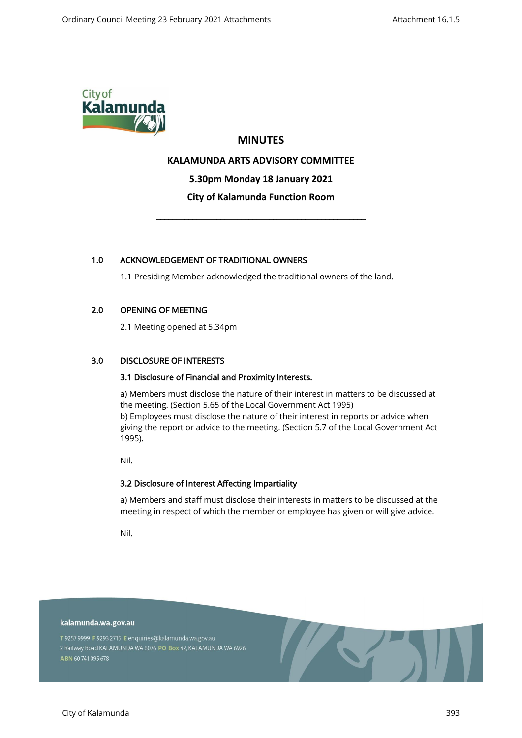

## **MINUTES**

## **KALAMUNDA ARTS ADVISORY COMMITTEE**

**5.30pm Monday 18 January 2021**

## **City of Kalamunda Function Room**

\_\_\_\_\_\_\_\_\_\_\_\_\_\_\_\_\_\_\_\_\_\_\_\_\_\_\_\_\_\_\_\_\_\_\_\_\_\_\_\_\_\_\_\_\_\_\_\_\_\_\_\_

## 1.0 ACKNOWLEDGEMENT OF TRADITIONAL OWNERS

1.1 Presiding Member acknowledged the traditional owners of the land.

## 2.0 OPENING OF MEETING

2.1 Meeting opened at 5.34pm

## 3.0 DISCLOSURE OF INTERESTS

## 3.1 Disclosure of Financial and Proximity Interests.

a) Members must disclose the nature of their interest in matters to be discussed at the meeting. (Section 5.65 of the Local Government Act 1995) b) Employees must disclose the nature of their interest in reports or advice when giving the report or advice to the meeting. (Section 5.7 of the Local Government Act 1995).

Nil.

## 3.2 Disclosure of Interest Affecting Impartiality

a) Members and staff must disclose their interests in matters to be discussed at the meeting in respect of which the member or employee has given or will give advice.

**Contract** 

Nil.

kalamunda.wa.gov.au

T 9257 9999 F 9293 2715 E enquiries@kalamunda.wa.gov.au 2 Railway Road KALAMUNDA WA 6076 PO Box 42, KALAMUNDA WA 6926 ABN 60741095678

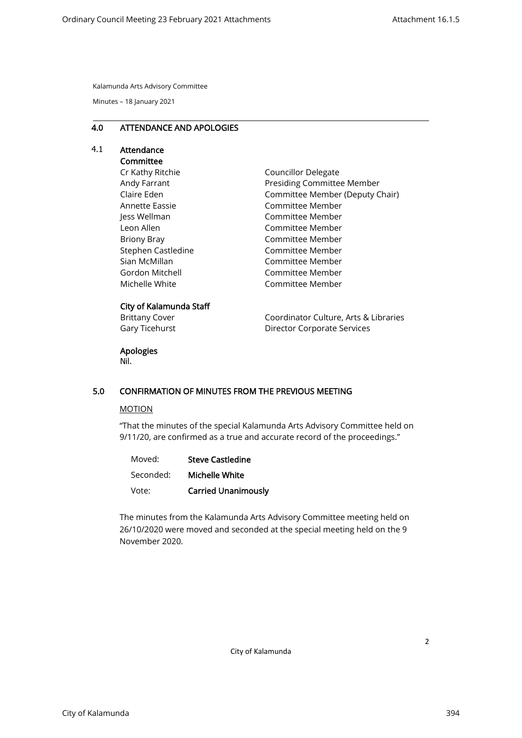Minutes – 18 January 2021

#### 4.0 ATTENDANCE AND APOLOGIES

# 4.1 Attendance

# **Committee**

Cr Kathy Ritchie Andy Farrant Claire Eden Annette Eassie Jess Wellman Leon Allen Briony Bray Stephen Castledine Sian McMillan Gordon Mitchell Michelle White

Councillor Delegate Presiding Committee Member Committee Member (Deputy Chair) Committee Member Committee Member Committee Member Committee Member Committee Member Committee Member Committee Member Committee Member

## City of Kalamunda Staff

Brittany Cover Gary Ticehurst Coordinator Culture, Arts & Libraries Director Corporate Services

## Apologies

Nil.

## 5.0 CONFIRMATION OF MINUTES FROM THE PREVIOUS MEETING

#### MOTION

"That the minutes of the special Kalamunda Arts Advisory Committee held on 9/11/20, are confirmed as a true and accurate record of the proceedings."

| Moved:    | <b>Steve Castledine</b>    |
|-----------|----------------------------|
| Seconded: | Michelle White             |
| Vote:     | <b>Carried Unanimously</b> |

The minutes from the Kalamunda Arts Advisory Committee meeting held on 26/10/2020 were moved and seconded at the special meeting held on the 9 November 2020.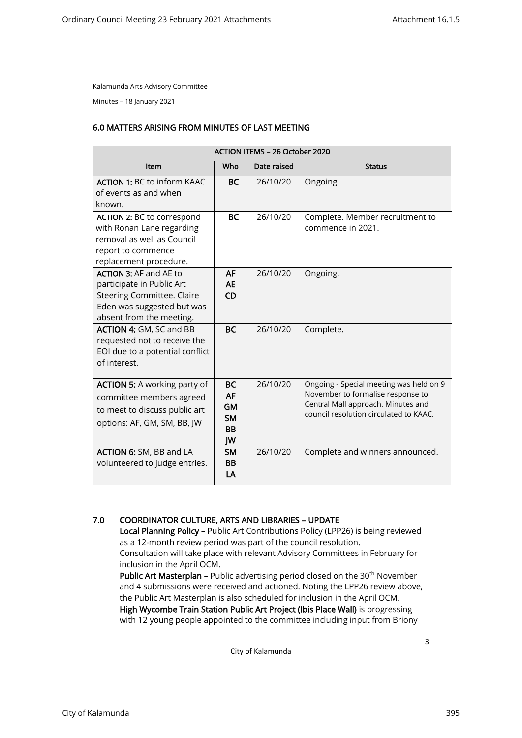Minutes – 18 January 2021

#### 6.0 MATTERS ARISING FROM MINUTES OF LAST MEETING

| <b>ACTION ITEMS - 26 October 2020</b>                                                                                                                     |                                                                     |             |                                                                                                                                                              |  |  |
|-----------------------------------------------------------------------------------------------------------------------------------------------------------|---------------------------------------------------------------------|-------------|--------------------------------------------------------------------------------------------------------------------------------------------------------------|--|--|
| <b>Item</b>                                                                                                                                               | Who                                                                 | Date raised | <b>Status</b>                                                                                                                                                |  |  |
| <b>ACTION 1: BC to inform KAAC</b><br>of events as and when<br>known.                                                                                     | <b>BC</b>                                                           | 26/10/20    | Ongoing                                                                                                                                                      |  |  |
| <b>ACTION 2: BC to correspond</b><br>with Ronan Lane regarding<br>removal as well as Council<br>report to commence<br>replacement procedure.              | <b>BC</b>                                                           | 26/10/20    | Complete. Member recruitment to<br>commence in 2021.                                                                                                         |  |  |
| <b>ACTION 3: AF and AE to</b><br>participate in Public Art<br><b>Steering Committee. Claire</b><br>Eden was suggested but was<br>absent from the meeting. | <b>AF</b><br><b>AE</b><br><b>CD</b>                                 | 26/10/20    | Ongoing.                                                                                                                                                     |  |  |
| ACTION 4: GM, SC and BB<br>requested not to receive the<br>EOI due to a potential conflict<br>of interest.                                                | <b>BC</b>                                                           | 26/10/20    | Complete.                                                                                                                                                    |  |  |
| <b>ACTION 5:</b> A working party of<br>committee members agreed<br>to meet to discuss public art<br>options: AF, GM, SM, BB, JW                           | <b>BC</b><br><b>AF</b><br><b>GM</b><br><b>SM</b><br><b>BB</b><br>JW | 26/10/20    | Ongoing - Special meeting was held on 9<br>November to formalise response to<br>Central Mall approach. Minutes and<br>council resolution circulated to KAAC. |  |  |
| <b>ACTION 6:</b> SM, BB and LA<br>volunteered to judge entries.                                                                                           | <b>SM</b><br><b>BB</b><br>LA                                        | 26/10/20    | Complete and winners announced.                                                                                                                              |  |  |

## 7.0 COORDINATOR CULTURE, ARTS AND LIBRARIES – UPDATE

Local Planning Policy – Public Art Contributions Policy (LPP26) is being reviewed as a 12-month review period was part of the council resolution. Consultation will take place with relevant Advisory Committees in February for

inclusion in the April OCM.

**Public Art Masterplan** – Public advertising period closed on the 30<sup>th</sup> November and 4 submissions were received and actioned. Noting the LPP26 review above, the Public Art Masterplan is also scheduled for inclusion in the April OCM. High Wycombe Train Station Public Art Project (Ibis Place Wall) is progressing

with 12 young people appointed to the committee including input from Briony

City of Kalamunda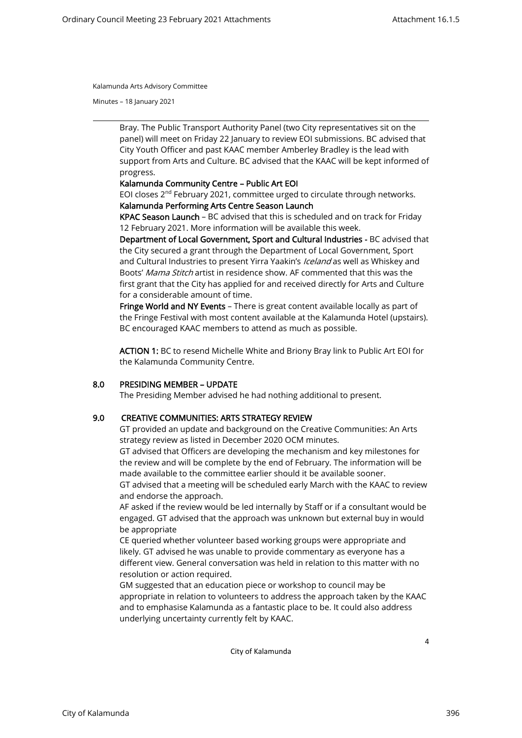Minutes – 18 January 2021

Bray. The Public Transport Authority Panel (two City representatives sit on the panel) will meet on Friday 22 January to review EOI submissions. BC advised that City Youth Officer and past KAAC member Amberley Bradley is the lead with support from Arts and Culture. BC advised that the KAAC will be kept informed of progress.

### Kalamunda Community Centre – Public Art EOI

EOI closes  $2^{nd}$  February 2021, committee urged to circulate through networks. Kalamunda Performing Arts Centre Season Launch

KPAC Season Launch – BC advised that this is scheduled and on track for Friday 12 February 2021. More information will be available this week.

Department of Local Government, Sport and Cultural Industries - BC advised that the City secured a grant through the Department of Local Government, Sport and Cultural Industries to present Yirra Yaakin's Iceland as well as Whiskey and Boots' Mama Stitch artist in residence show. AF commented that this was the first grant that the City has applied for and received directly for Arts and Culture for a considerable amount of time.

Fringe World and NY Events - There is great content available locally as part of the Fringe Festival with most content available at the Kalamunda Hotel (upstairs). BC encouraged KAAC members to attend as much as possible.

ACTION 1: BC to resend Michelle White and Briony Bray link to Public Art EOI for the Kalamunda Community Centre.

#### 8.0 PRESIDING MEMBER – UPDATE

The Presiding Member advised he had nothing additional to present.

## 9.0 CREATIVE COMMUNITIES: ARTS STRATEGY REVIEW

GT provided an update and background on the Creative Communities: An Arts strategy review as listed in December 2020 OCM minutes.

GT advised that Officers are developing the mechanism and key milestones for the review and will be complete by the end of February. The information will be made available to the committee earlier should it be available sooner.

GT advised that a meeting will be scheduled early March with the KAAC to review and endorse the approach.

AF asked if the review would be led internally by Staff or if a consultant would be engaged. GT advised that the approach was unknown but external buy in would be appropriate

CE queried whether volunteer based working groups were appropriate and likely. GT advised he was unable to provide commentary as everyone has a different view. General conversation was held in relation to this matter with no resolution or action required.

GM suggested that an education piece or workshop to council may be appropriate in relation to volunteers to address the approach taken by the KAAC and to emphasise Kalamunda as a fantastic place to be. It could also address underlying uncertainty currently felt by KAAC.

City of Kalamunda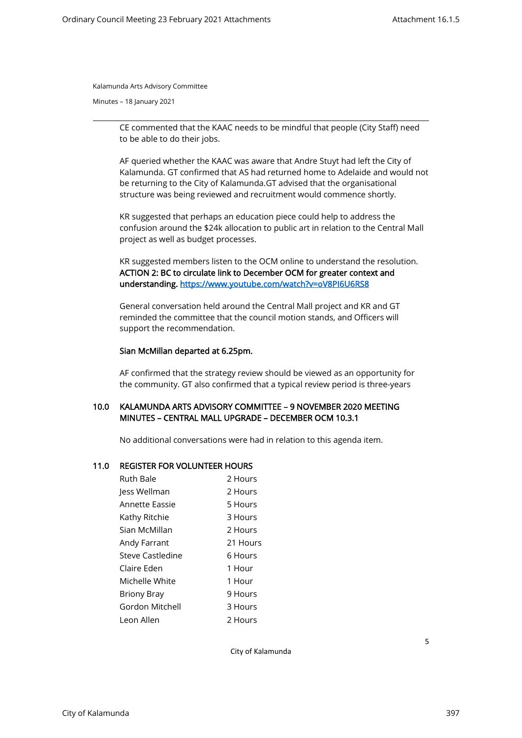Minutes – 18 January 2021

CE commented that the KAAC needs to be mindful that people (City Staff) need to be able to do their jobs.

AF queried whether the KAAC was aware that Andre Stuyt had left the City of Kalamunda. GT confirmed that AS had returned home to Adelaide and would not be returning to the City of Kalamunda.GT advised that the organisational structure was being reviewed and recruitment would commence shortly.

KR suggested that perhaps an education piece could help to address the confusion around the \$24k allocation to public art in relation to the Central Mall project as well as budget processes.

KR suggested members listen to the OCM online to understand the resolution. ACTION 2: BC to circulate link to December OCM for greater context and understanding.<https://www.youtube.com/watch?v=oV8PI6U6RS8>

General conversation held around the Central Mall project and KR and GT reminded the committee that the council motion stands, and Officers will support the recommendation.

#### Sian McMillan departed at 6.25pm.

AF confirmed that the strategy review should be viewed as an opportunity for the community. GT also confirmed that a typical review period is three-years

## 10.0 KALAMUNDA ARTS ADVISORY COMMITTEE – 9 NOVEMBER 2020 MEETING MINUTES – CENTRAL MALL UPGRADE – DECEMBER OCM 10.3.1

No additional conversations were had in relation to this agenda item.

#### 11.0 REGISTER FOR VOLUNTEER HOURS

City of Kalamunda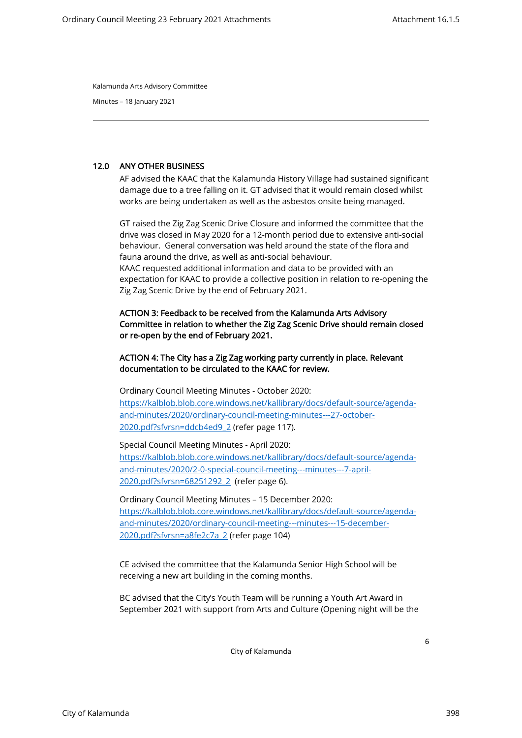Minutes – 18 January 2021

## 12.0 ANY OTHER BUSINESS

AF advised the KAAC that the Kalamunda History Village had sustained significant damage due to a tree falling on it. GT advised that it would remain closed whilst works are being undertaken as well as the asbestos onsite being managed.

GT raised the Zig Zag Scenic Drive Closure and informed the committee that the drive was closed in May 2020 for a 12-month period due to extensive anti-social behaviour. General conversation was held around the state of the flora and fauna around the drive, as well as anti-social behaviour. KAAC requested additional information and data to be provided with an expectation for KAAC to provide a collective position in relation to re-opening the Zig Zag Scenic Drive by the end of February 2021.

## ACTION 3: Feedback to be received from the Kalamunda Arts Advisory Committee in relation to whether the Zig Zag Scenic Drive should remain closed or re-open by the end of February 2021.

## ACTION 4: The City has a Zig Zag working party currently in place. Relevant documentation to be circulated to the KAAC for review.

Ordinary Council Meeting Minutes - October 2020: [https://kalblob.blob.core.windows.net/kallibrary/docs/default-source/agenda](https://kalblob.blob.core.windows.net/kallibrary/docs/default-source/agenda-and-minutes/2020/ordinary-council-meeting-minutes---27-october-2020.pdf?sfvrsn=ddcb4ed9_2)[and-minutes/2020/ordinary-council-meeting-minutes---27-october-](https://kalblob.blob.core.windows.net/kallibrary/docs/default-source/agenda-and-minutes/2020/ordinary-council-meeting-minutes---27-october-2020.pdf?sfvrsn=ddcb4ed9_2)[2020.pdf?sfvrsn=ddcb4ed9\\_2](https://kalblob.blob.core.windows.net/kallibrary/docs/default-source/agenda-and-minutes/2020/ordinary-council-meeting-minutes---27-october-2020.pdf?sfvrsn=ddcb4ed9_2) (refer page 117).

Special Council Meeting Minutes - April 2020: [https://kalblob.blob.core.windows.net/kallibrary/docs/default-source/agenda](https://kalblob.blob.core.windows.net/kallibrary/docs/default-source/agenda-and-minutes/2020/2-0-special-council-meeting---minutes---7-april-2020.pdf?sfvrsn=68251292_2)[and-minutes/2020/2-0-special-council-meeting---minutes---7-april-](https://kalblob.blob.core.windows.net/kallibrary/docs/default-source/agenda-and-minutes/2020/2-0-special-council-meeting---minutes---7-april-2020.pdf?sfvrsn=68251292_2)[2020.pdf?sfvrsn=68251292\\_2](https://kalblob.blob.core.windows.net/kallibrary/docs/default-source/agenda-and-minutes/2020/2-0-special-council-meeting---minutes---7-april-2020.pdf?sfvrsn=68251292_2) (refer page 6).

Ordinary Council Meeting Minutes – 15 December 2020: [https://kalblob.blob.core.windows.net/kallibrary/docs/default-source/agenda](https://kalblob.blob.core.windows.net/kallibrary/docs/default-source/agenda-and-minutes/2020/ordinary-council-meeting---minutes---15-december-2020.pdf?sfvrsn=a8fe2c7a_2)[and-minutes/2020/ordinary-council-meeting---minutes---15-december-](https://kalblob.blob.core.windows.net/kallibrary/docs/default-source/agenda-and-minutes/2020/ordinary-council-meeting---minutes---15-december-2020.pdf?sfvrsn=a8fe2c7a_2)[2020.pdf?sfvrsn=a8fe2c7a\\_2](https://kalblob.blob.core.windows.net/kallibrary/docs/default-source/agenda-and-minutes/2020/ordinary-council-meeting---minutes---15-december-2020.pdf?sfvrsn=a8fe2c7a_2) (refer page 104)

CE advised the committee that the Kalamunda Senior High School will be receiving a new art building in the coming months.

BC advised that the City's Youth Team will be running a Youth Art Award in September 2021 with support from Arts and Culture (Opening night will be the

City of Kalamunda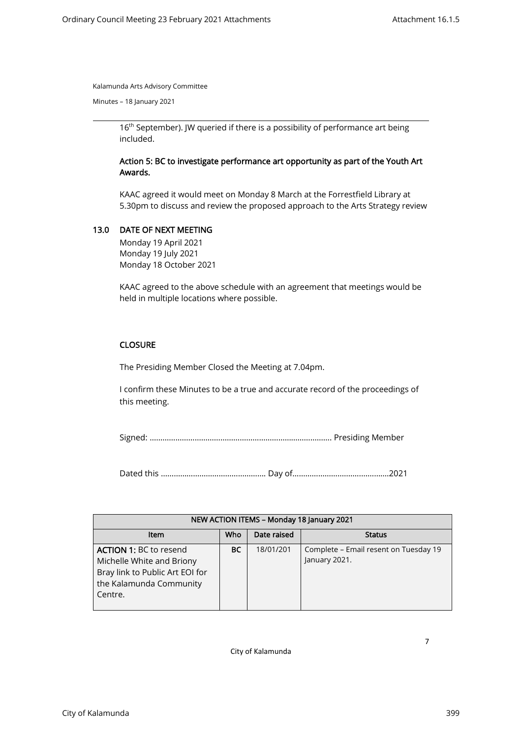Minutes – 18 January 2021

16<sup>th</sup> September). JW queried if there is a possibility of performance art being included.

## Action 5: BC to investigate performance art opportunity as part of the Youth Art Awards.

KAAC agreed it would meet on Monday 8 March at the Forrestfield Library at 5.30pm to discuss and review the proposed approach to the Arts Strategy review

## 13.0 DATE OF NEXT MEETING

Monday 19 April 2021 Monday 19 July 2021 Monday 18 October 2021

KAAC agreed to the above schedule with an agreement that meetings would be held in multiple locations where possible.

## **CLOSURE**

The Presiding Member Closed the Meeting at 7.04pm.

I confirm these Minutes to be a true and accurate record of the proceedings of this meeting.

Signed: …………………………………………………………………………. Presiding Member

Dated this …………………………………………. Day of…………………………..………….2021

| NEW ACTION ITEMS - Monday 18 January 2021                                                                                           |     |             |                                                        |  |  |  |
|-------------------------------------------------------------------------------------------------------------------------------------|-----|-------------|--------------------------------------------------------|--|--|--|
| <b>Item</b>                                                                                                                         | Who | Date raised | <b>Status</b>                                          |  |  |  |
| <b>ACTION 1: BC to resend</b><br>Michelle White and Briony<br>Bray link to Public Art EOI for<br>the Kalamunda Community<br>Centre. | ВC  | 18/01/201   | Complete – Email resent on Tuesday 19<br>January 2021. |  |  |  |

City of Kalamunda